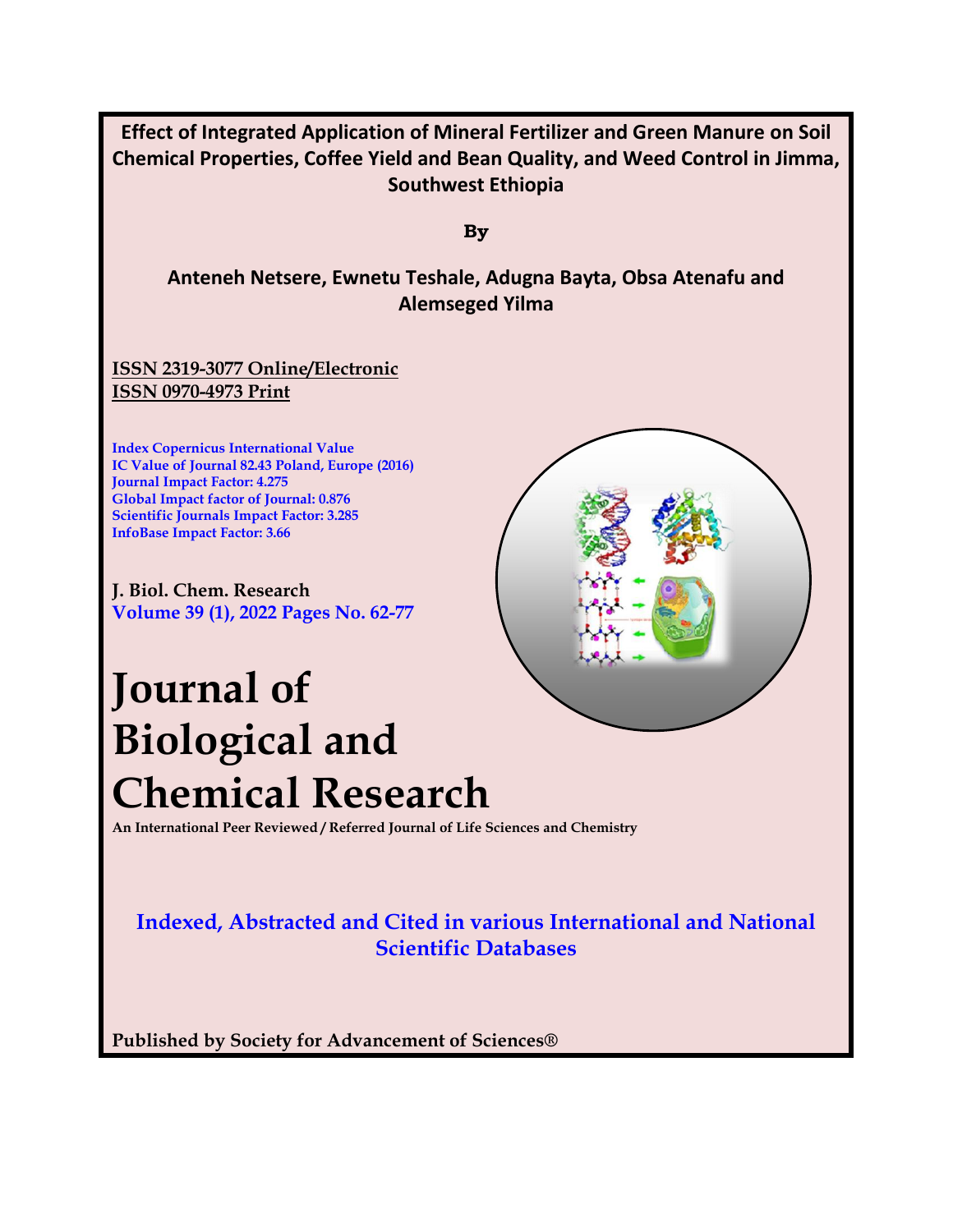

**An International Peer Reviewed / Referred Journal of Life Sciences and Chemistry**

# **Indexed, Abstracted and Cited in various International and National Scientific Databases**

**Published by Society for Advancement of Sciences®**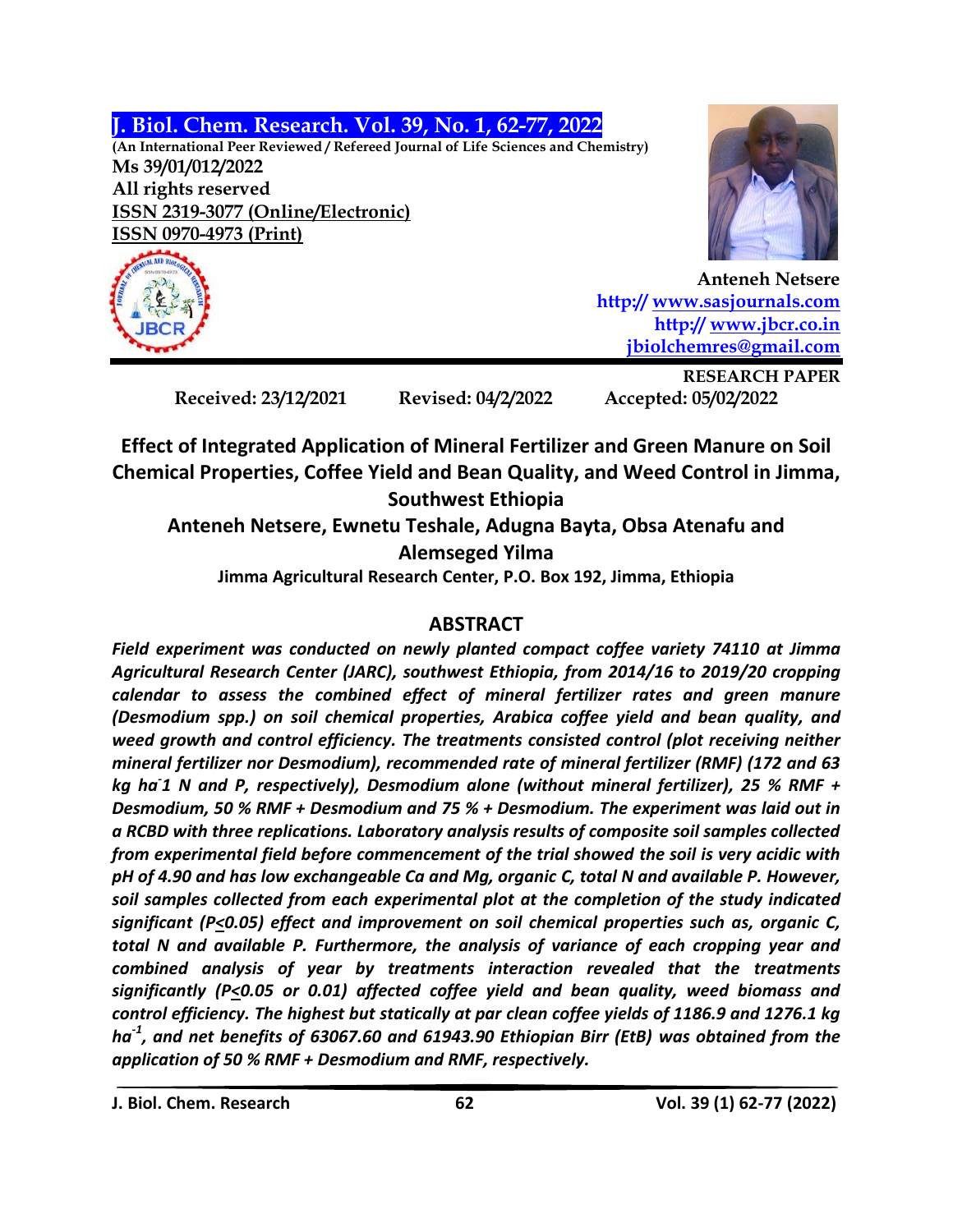**J. Biol. Chem. Research. Vol. 39, No. 1, 62-77, 2022**

**(An International Peer Reviewed / Refereed Journal of Life Sciences and Chemistry) Ms 39/01/012/2022 All rights reserved ISSN 2319-3077 (Online/Electronic) ISSN 0970-4973 (Print)**



**Anteneh Netsere http:// [www.sasjournals.com](http://www.sasjournals.com/) http:// [www.jbcr.co.in](http://www.jbcr.co.in/) [jbiolchemres@gmail.com](mailto:jbiolchemres@gmail.com)**

**Received: 23/12/2021 Revised: 04/2/2022 Accepted: 05/02/2022**

**RESEARCH PAPER**

**Effect of Integrated Application of Mineral Fertilizer and Green Manure on Soil Chemical Properties, Coffee Yield and Bean Quality, and Weed Control in Jimma, Southwest Ethiopia**

**Anteneh Netsere, Ewnetu Teshale, Adugna Bayta, Obsa Atenafu and Alemseged Yilma**

**Jimma Agricultural Research Center, P.O. Box 192, Jimma, Ethiopia**

# **ABSTRACT**

*Field experiment was conducted on newly planted compact coffee variety 74110 at Jimma Agricultural Research Center (JARC), southwest Ethiopia, from 2014/16 to 2019/20 cropping calendar to assess the combined effect of mineral fertilizer rates and green manure (Desmodium spp.) on soil chemical properties, Arabica coffee yield and bean quality, and weed growth and control efficiency. The treatments consisted control (plot receiving neither mineral fertilizer nor Desmodium), recommended rate of mineral fertilizer (RMF) (172 and 63 kg ha-1 N and P, respectively), Desmodium alone (without mineral fertilizer), 25 % RMF + Desmodium, 50 % RMF + Desmodium and 75 % + Desmodium. The experiment was laid out in a RCBD with three replications. Laboratory analysis results of composite soil samples collected from experimental field before commencement of the trial showed the soil is very acidic with pH of 4.90 and has low exchangeable Ca and Mg, organic C, total N and available P. However, soil samples collected from each experimental plot at the completion of the study indicated significant (P<0.05) effect and improvement on soil chemical properties such as, organic C, total N and available P. Furthermore, the analysis of variance of each cropping year and combined analysis of year by treatments interaction revealed that the treatments significantly (P<0.05 or 0.01) affected coffee yield and bean quality, weed biomass and control efficiency. The highest but statically at par clean coffee yields of 1186.9 and 1276.1 kg ha-1 , and net benefits of 63067.60 and 61943.90 Ethiopian Birr (EtB) was obtained from the application of 50 % RMF + Desmodium and RMF, respectively.*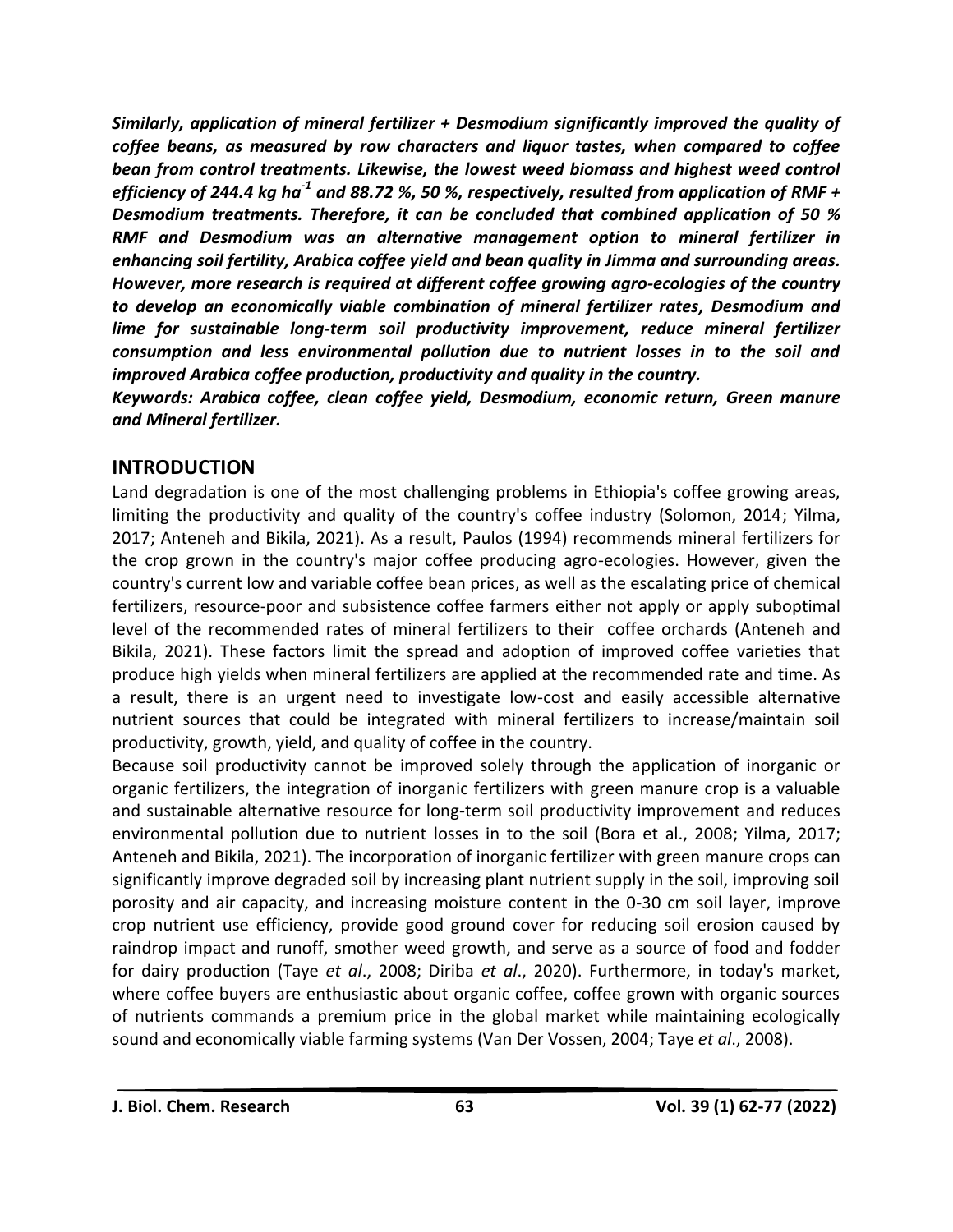*Similarly, application of mineral fertilizer + Desmodium significantly improved the quality of coffee beans, as measured by row characters and liquor tastes, when compared to coffee bean from control treatments. Likewise, the lowest weed biomass and highest weed control efficiency of 244.4 kg ha-1 and 88.72 %, 50 %, respectively, resulted from application of RMF + Desmodium treatments. Therefore, it can be concluded that combined application of 50 % RMF and Desmodium was an alternative management option to mineral fertilizer in enhancing soil fertility, Arabica coffee yield and bean quality in Jimma and surrounding areas. However, more research is required at different coffee growing agro-ecologies of the country to develop an economically viable combination of mineral fertilizer rates, Desmodium and lime for sustainable long-term soil productivity improvement, reduce mineral fertilizer consumption and less environmental pollution due to nutrient losses in to the soil and improved Arabica coffee production, productivity and quality in the country.*

*Keywords: Arabica coffee, clean coffee yield, Desmodium, economic return, Green manure and Mineral fertilizer.*

# **INTRODUCTION**

Land degradation is one of the most challenging problems in Ethiopia's coffee growing areas, limiting the productivity and quality of the country's coffee industry (Solomon, 2014; Yilma, 2017; Anteneh and Bikila, 2021). As a result, Paulos (1994) recommends mineral fertilizers for the crop grown in the country's major coffee producing agro-ecologies. However, given the country's current low and variable coffee bean prices, as well as the escalating price of chemical fertilizers, resource-poor and subsistence coffee farmers either not apply or apply suboptimal level of the recommended rates of mineral fertilizers to their coffee orchards (Anteneh and Bikila, 2021). These factors limit the spread and adoption of improved coffee varieties that produce high yields when mineral fertilizers are applied at the recommended rate and time. As a result, there is an urgent need to investigate low-cost and easily accessible alternative nutrient sources that could be integrated with mineral fertilizers to increase/maintain soil productivity, growth, yield, and quality of coffee in the country.

Because soil productivity cannot be improved solely through the application of inorganic or organic fertilizers, the integration of inorganic fertilizers with green manure crop is a valuable and sustainable alternative resource for long-term soil productivity improvement and reduces environmental pollution due to nutrient losses in to the soil (Bora et al., 2008; Yilma, 2017; Anteneh and Bikila, 2021). The incorporation of inorganic fertilizer with green manure crops can significantly improve degraded soil by increasing plant nutrient supply in the soil, improving soil porosity and air capacity, and increasing moisture content in the 0-30 cm soil layer, improve crop nutrient use efficiency, provide good ground cover for reducing soil erosion caused by raindrop impact and runoff, smother weed growth, and serve as a source of food and fodder for dairy production (Taye *et al*., 2008; Diriba *et al*., 2020). Furthermore, in today's market, where coffee buyers are enthusiastic about organic coffee, coffee grown with organic sources of nutrients commands a premium price in the global market while maintaining ecologically sound and economically viable farming systems (Van Der Vossen, 2004; Taye *et al*., 2008).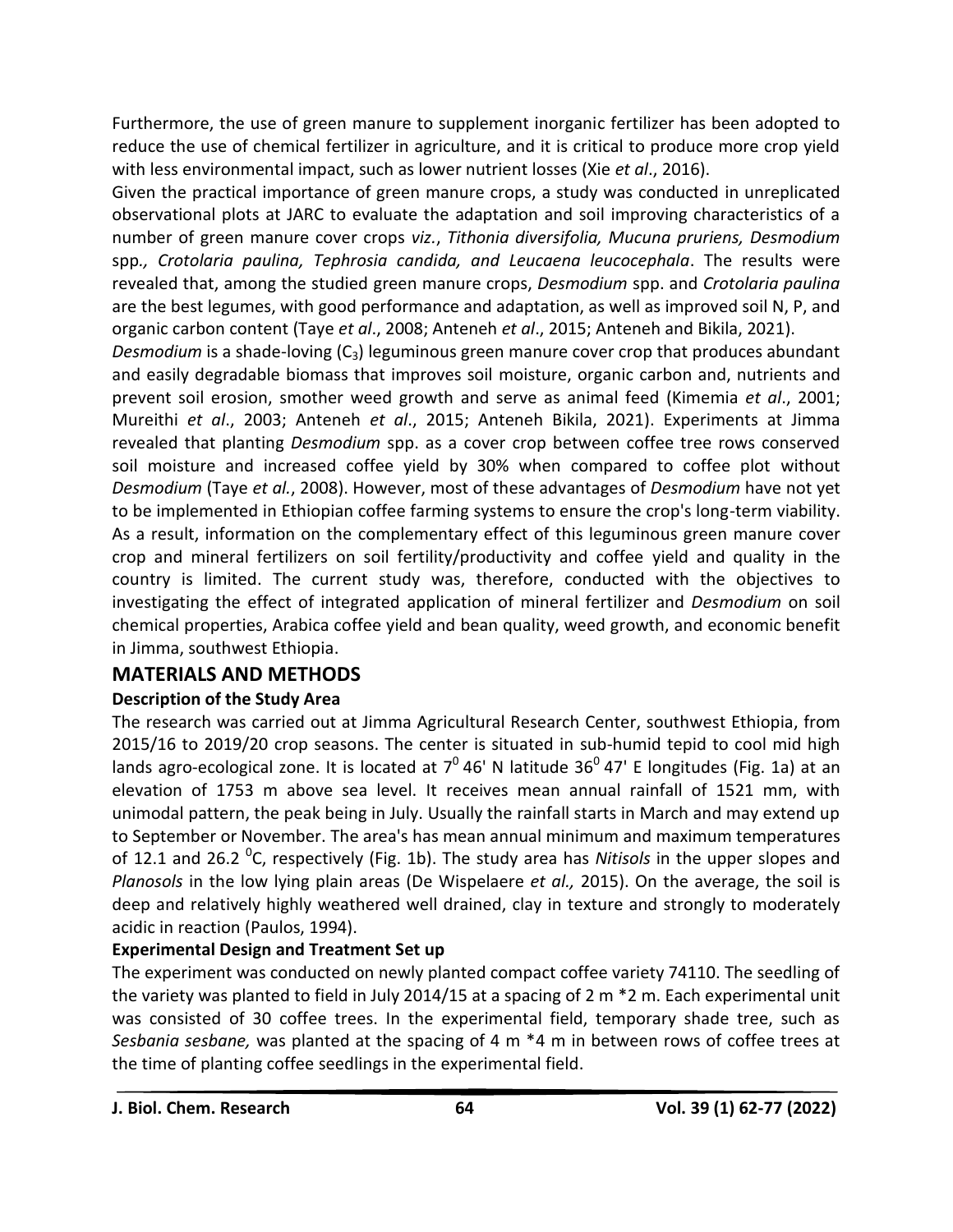Furthermore, the use of green manure to supplement inorganic fertilizer has been adopted to reduce the use of chemical fertilizer in agriculture, and it is critical to produce more crop yield with less environmental impact, such as lower nutrient losses (Xie *et al*., 2016).

Given the practical importance of green manure crops, a study was conducted in unreplicated observational plots at JARC to evaluate the adaptation and soil improving characteristics of a number of green manure cover crops *viz.*, *Tithonia diversifolia, Mucuna pruriens, Desmodium* spp*., Crotolaria paulina, Tephrosia candida, and Leucaena leucocephala*. The results were revealed that, among the studied green manure crops, *Desmodium* spp. and *Crotolaria paulina* are the best legumes, with good performance and adaptation, as well as improved soil N, P, and organic carbon content (Taye *et al*., 2008; Anteneh *et al*., 2015; Anteneh and Bikila, 2021).

*Desmodium* is a shade-loving (C<sub>3</sub>) leguminous green manure cover crop that produces abundant and easily degradable biomass that improves soil moisture, organic carbon and, nutrients and prevent soil erosion, smother weed growth and serve as animal feed (Kimemia *et al*., 2001; Mureithi *et al*., 2003; Anteneh *et al*., 2015; Anteneh Bikila, 2021). Experiments at Jimma revealed that planting *Desmodium* spp. as a cover crop between coffee tree rows conserved soil moisture and increased coffee yield by 30% when compared to coffee plot without *Desmodium* (Taye *et al.*, 2008). However, most of these advantages of *Desmodium* have not yet to be implemented in Ethiopian coffee farming systems to ensure the crop's long-term viability. As a result, information on the complementary effect of this leguminous green manure cover crop and mineral fertilizers on soil fertility/productivity and coffee yield and quality in the country is limited. The current study was, therefore, conducted with the objectives to investigating the effect of integrated application of mineral fertilizer and *Desmodium* on soil chemical properties, Arabica coffee yield and bean quality, weed growth, and economic benefit in Jimma, southwest Ethiopia.

# **MATERIALS AND METHODS**

# **Description of the Study Area**

The research was carried out at Jimma Agricultural Research Center, southwest Ethiopia, from 2015/16 to 2019/20 crop seasons. The center is situated in sub-humid tepid to cool mid high lands agro-ecological zone. It is located at  $7^0$  46' N latitude 36 $^0$  47' E longitudes (Fig. 1a) at an elevation of 1753 m above sea level. It receives mean annual rainfall of 1521 mm, with unimodal pattern, the peak being in July. Usually the rainfall starts in March and may extend up to September or November. The area's has mean annual minimum and maximum temperatures of 12.1 and 26.2 <sup>o</sup>C, respectively (Fig. 1b). The study area has *Nitisols* in the upper slopes and *Planosols* in the low lying plain areas (De Wispelaere *et al.,* 2015). On the average, the soil is deep and relatively highly weathered well drained, clay in texture and strongly to moderately acidic in reaction (Paulos, 1994).

# **Experimental Design and Treatment Set up**

The experiment was conducted on newly planted compact coffee variety 74110. The seedling of the variety was planted to field in July 2014/15 at a spacing of 2 m \*2 m. Each experimental unit was consisted of 30 coffee trees. In the experimental field, temporary shade tree, such as *Sesbania sesbane,* was planted at the spacing of 4 m \*4 m in between rows of coffee trees at the time of planting coffee seedlings in the experimental field.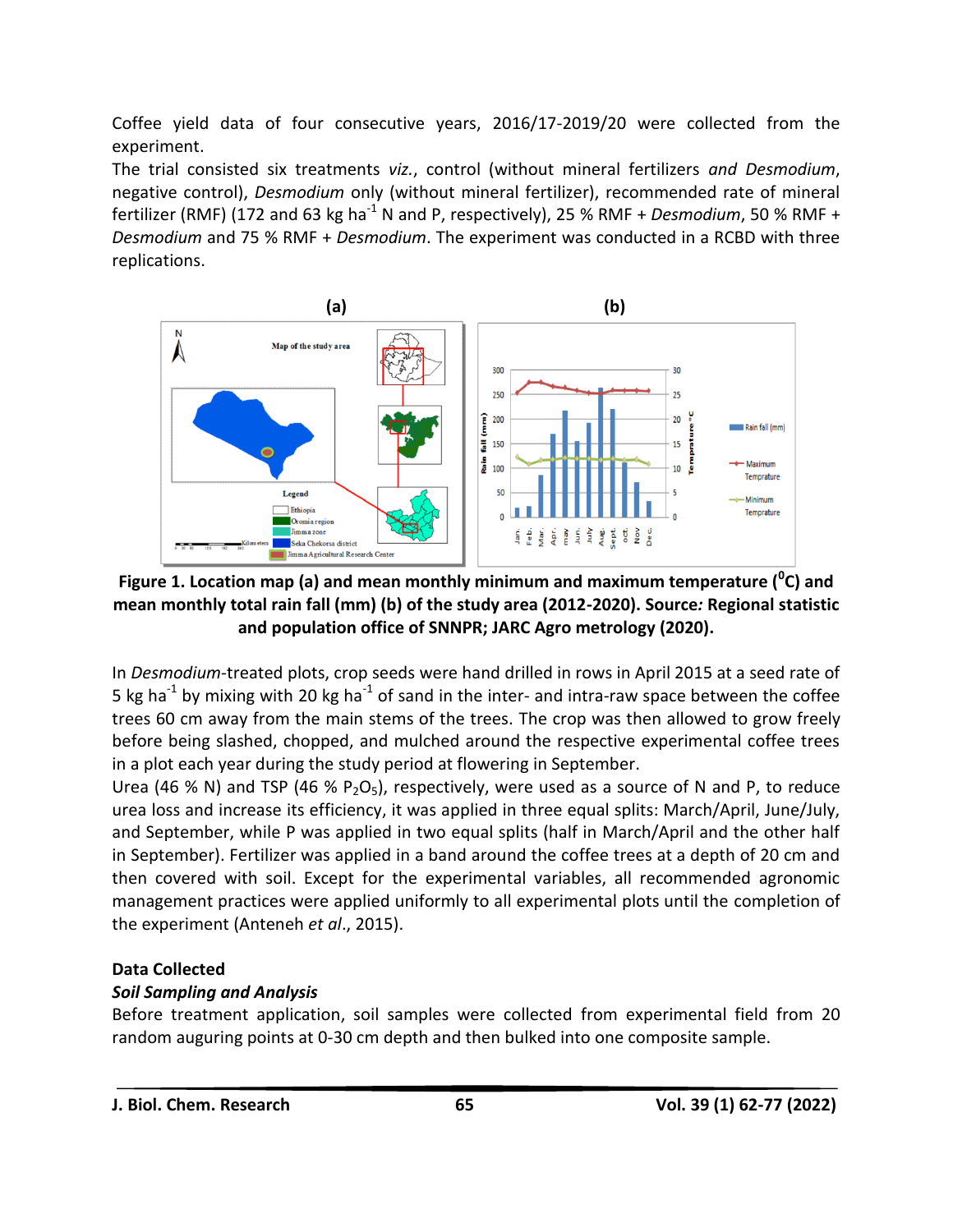Coffee yield data of four consecutive years, 2016/17-2019/20 were collected from the experiment.

The trial consisted six treatments *viz.*, control (without mineral fertilizers *and Desmodium*, negative control), *Desmodium* only (without mineral fertilizer), recommended rate of mineral fertilizer (RMF) (172 and 63 kg ha<sup>-1</sup> N and P, respectively), 25 % RMF + *Desmodium*, 50 % RMF + *Desmodium* and 75 % RMF + *Desmodium*. The experiment was conducted in a RCBD with three replications.



**Figure 1. Location map (a) and mean monthly minimum and maximum temperature (<sup>0</sup> C) and mean monthly total rain fall (mm) (b) of the study area (2012-2020). Source***:* **Regional statistic and population office of SNNPR; JARC Agro metrology (2020).**

In *Desmodium*-treated plots, crop seeds were hand drilled in rows in April 2015 at a seed rate of 5 kg ha<sup>-1</sup> by mixing with 20 kg ha<sup>-1</sup> of sand in the inter- and intra-raw space between the coffee trees 60 cm away from the main stems of the trees. The crop was then allowed to grow freely before being slashed, chopped, and mulched around the respective experimental coffee trees in a plot each year during the study period at flowering in September.

Urea (46 % N) and TSP (46 % P<sub>2</sub>O<sub>5</sub>), respectively, were used as a source of N and P, to reduce urea loss and increase its efficiency, it was applied in three equal splits: March/April, June/July, and September, while P was applied in two equal splits (half in March/April and the other half in September). Fertilizer was applied in a band around the coffee trees at a depth of 20 cm and then covered with soil. Except for the experimental variables, all recommended agronomic management practices were applied uniformly to all experimental plots until the completion of the experiment (Anteneh *et al*., 2015).

# **Data Collected**

# *Soil Sampling and Analysis*

Before treatment application, soil samples were collected from experimental field from 20 random auguring points at 0-30 cm depth and then bulked into one composite sample.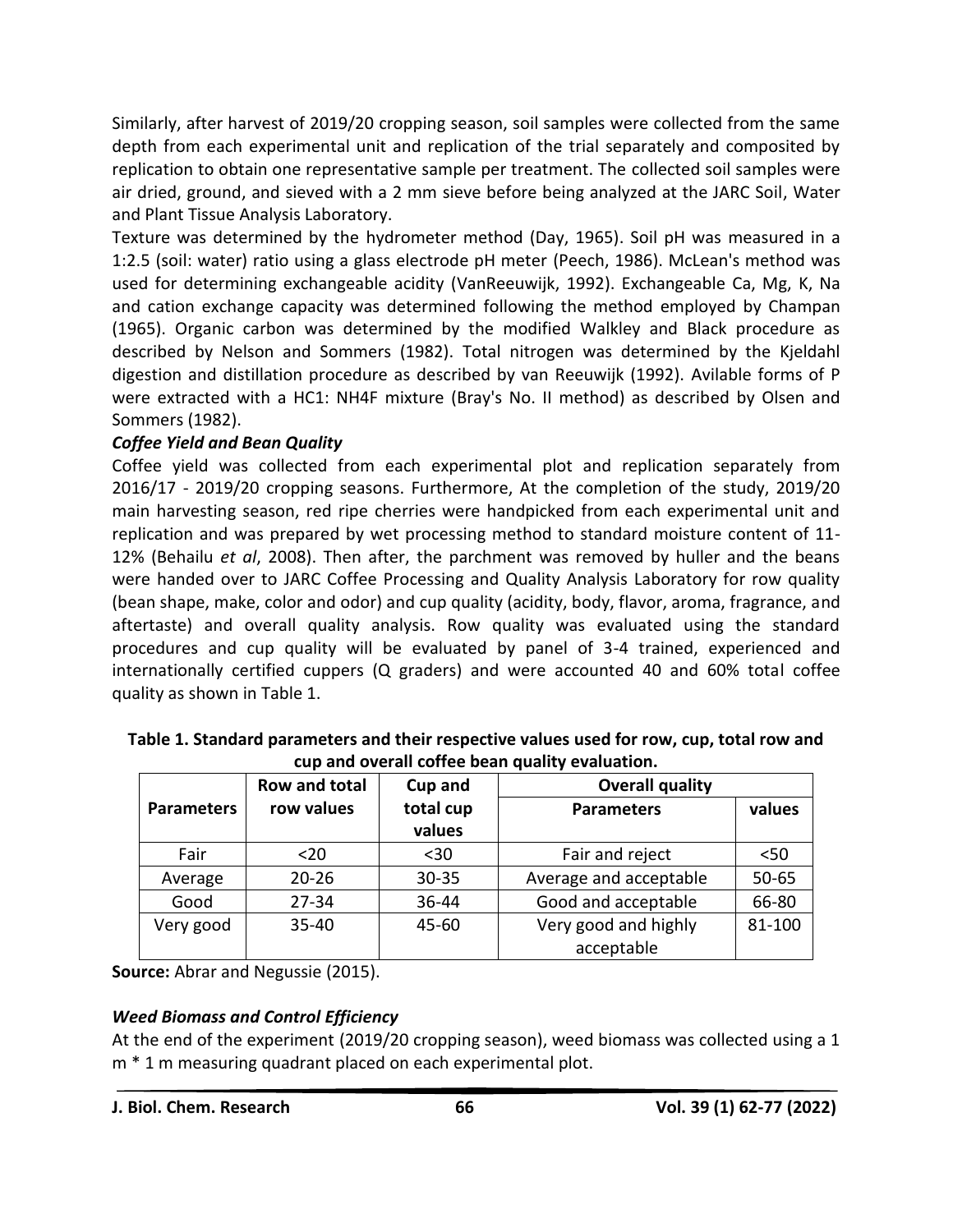Similarly, after harvest of 2019/20 cropping season, soil samples were collected from the same depth from each experimental unit and replication of the trial separately and composited by replication to obtain one representative sample per treatment. The collected soil samples were air dried, ground, and sieved with a 2 mm sieve before being analyzed at the JARC Soil, Water and Plant Tissue Analysis Laboratory.

Texture was determined by the hydrometer method (Day, 1965). Soil pH was measured in a 1:2.5 (soil: water) ratio using a glass electrode pH meter (Peech, 1986). McLean's method was used for determining exchangeable acidity (VanReeuwijk, 1992). Exchangeable Ca, Mg, K, Na and cation exchange capacity was determined following the method employed by Champan (1965). Organic carbon was determined by the modified Walkley and Black procedure as described by Nelson and Sommers (1982). Total nitrogen was determined by the Kjeldahl digestion and distillation procedure as described by van Reeuwijk (1992). Avilable forms of P were extracted with a HC1: NH4F mixture (Bray's No. II method) as described by Olsen and Sommers (1982).

# *Coffee Yield and Bean Quality*

Coffee yield was collected from each experimental plot and replication separately from 2016/17 - 2019/20 cropping seasons. Furthermore, At the completion of the study, 2019/20 main harvesting season, red ripe cherries were handpicked from each experimental unit and replication and was prepared by wet processing method to standard moisture content of 11- 12% (Behailu *et al*, 2008). Then after, the parchment was removed by huller and the beans were handed over to JARC Coffee Processing and Quality Analysis Laboratory for row quality (bean shape, make, color and odor) and cup quality (acidity, body, flavor, aroma, fragrance, and aftertaste) and overall quality analysis. Row quality was evaluated using the standard procedures and cup quality will be evaluated by panel of 3-4 trained, experienced and internationally certified cuppers (Q graders) and were accounted 40 and 60% total coffee quality as shown in Table 1.

| <u>aap aha oferan conce seah qaanti crafaationi</u> |               |           |                        |           |  |  |  |  |
|-----------------------------------------------------|---------------|-----------|------------------------|-----------|--|--|--|--|
|                                                     | Row and total | Cup and   | <b>Overall quality</b> |           |  |  |  |  |
| <b>Parameters</b>                                   | row values    | total cup | <b>Parameters</b>      | values    |  |  |  |  |
|                                                     |               | values    |                        |           |  |  |  |  |
| Fair                                                | $20$          | $30$      | Fair and reject        | $50$      |  |  |  |  |
| Average                                             | $20 - 26$     | $30 - 35$ | Average and acceptable | $50 - 65$ |  |  |  |  |
| Good                                                | $27 - 34$     | 36-44     | Good and acceptable    | 66-80     |  |  |  |  |
| Very good                                           | $35 - 40$     | 45-60     | Very good and highly   | 81-100    |  |  |  |  |
|                                                     |               |           | acceptable             |           |  |  |  |  |

**Table 1. Standard parameters and their respective values used for row, cup, total row and cup and overall coffee bean quality evaluation.**

**Source:** Abrar and Negussie (2015).

# *Weed Biomass and Control Efficiency*

At the end of the experiment (2019/20 cropping season), weed biomass was collected using a 1 m \* 1 m measuring quadrant placed on each experimental plot.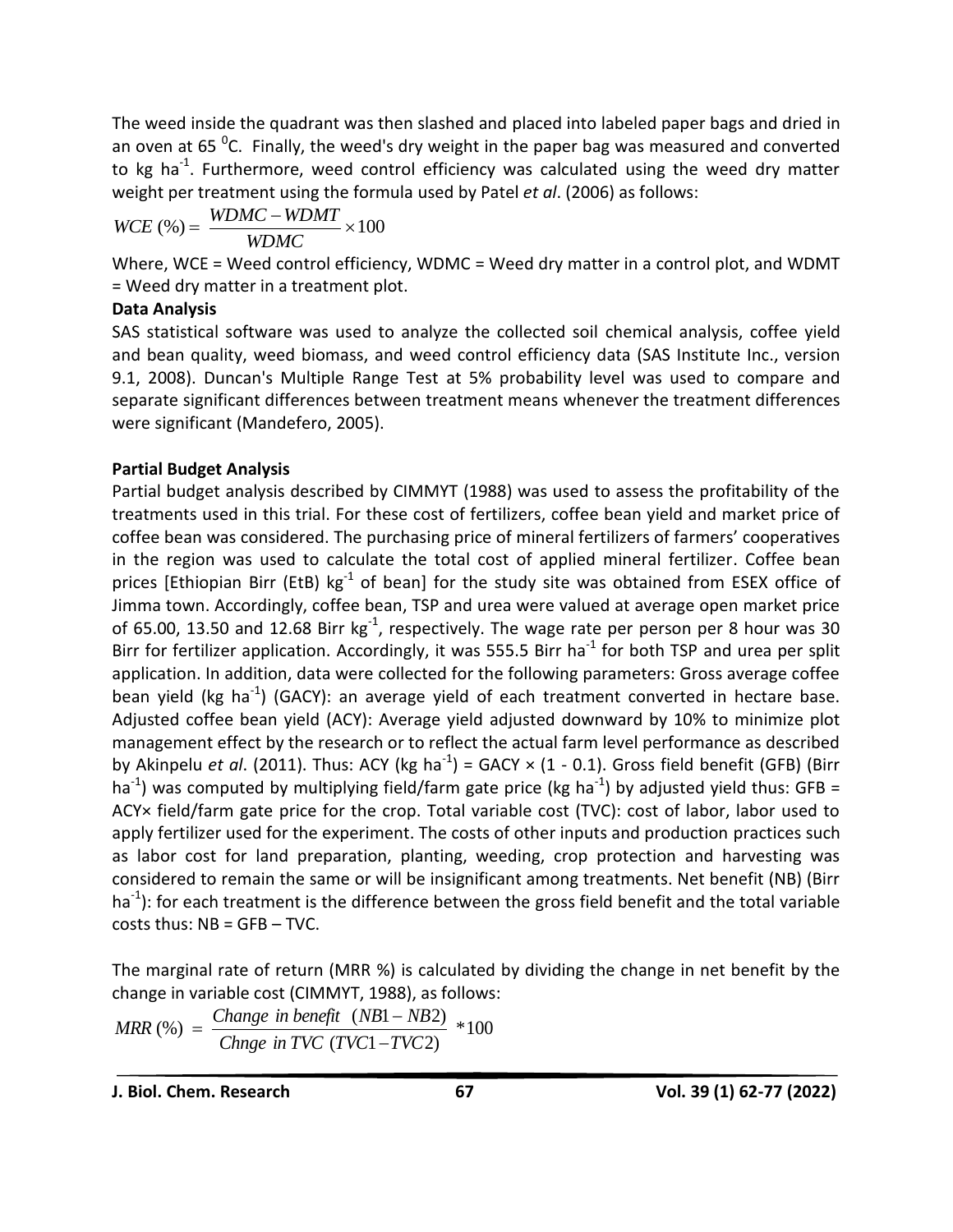The weed inside the quadrant was then slashed and placed into labeled paper bags and dried in an oven at 65 <sup>o</sup>C. Finally, the weed's dry weight in the paper bag was measured and converted to kg ha<sup>-1</sup>. Furthermore, weed control efficiency was calculated using the weed dry matter weight per treatment using the formula used by Patel *et al*. (2006) as follows:

$$
WCE (%) = \frac{WDMC - WDMT}{WDMC} \times 100
$$

Where, WCE = Weed control efficiency, WDMC = Weed dry matter in a control plot, and WDMT = Weed dry matter in a treatment plot.

# **Data Analysis**

SAS statistical software was used to analyze the collected soil chemical analysis, coffee yield and bean quality, weed biomass, and weed control efficiency data (SAS Institute Inc., version 9.1, 2008). Duncan's Multiple Range Test at 5% probability level was used to compare and separate significant differences between treatment means whenever the treatment differences were significant (Mandefero, 2005).

# **Partial Budget Analysis**

Partial budget analysis described by CIMMYT (1988) was used to assess the profitability of the treatments used in this trial. For these cost of fertilizers, coffee bean yield and market price of coffee bean was considered. The purchasing price of mineral fertilizers of farmers' cooperatives in the region was used to calculate the total cost of applied mineral fertilizer. Coffee bean prices [Ethiopian Birr (EtB)  $kg^{-1}$  of bean] for the study site was obtained from ESEX office of Jimma town. Accordingly, coffee bean, TSP and urea were valued at average open market price of 65.00, 13.50 and 12.68 Birr  $kg^{-1}$ , respectively. The wage rate per person per 8 hour was 30 Birr for fertilizer application. Accordingly, it was 555.5 Birr ha<sup>-1</sup> for both TSP and urea per split application. In addition, data were collected for the following parameters: Gross average coffee bean yield (kg ha<sup>-1</sup>) (GACY): an average yield of each treatment converted in hectare base. Adjusted coffee bean yield (ACY): Average yield adjusted downward by 10% to minimize plot management effect by the research or to reflect the actual farm level performance as described by Akinpelu *et al*. (2011). Thus: ACY (kg ha<sup>-1</sup>) = GACY × (1 - 0.1). Gross field benefit (GFB) (Birr ha<sup>-1</sup>) was computed by multiplying field/farm gate price (kg ha<sup>-1</sup>) by adjusted yield thus: GFB = ACY× field/farm gate price for the crop. Total variable cost (TVC): cost of labor, labor used to apply fertilizer used for the experiment. The costs of other inputs and production practices such as labor cost for land preparation, planting, weeding, crop protection and harvesting was considered to remain the same or will be insignificant among treatments. Net benefit (NB) (Birr ha<sup>-1</sup>): for each treatment is the difference between the gross field benefit and the total variable costs thus: NB = GFB – TVC.

The marginal rate of return (MRR %) is calculated by dividing the change in net benefit by the change in variable cost (CIMMYT, 1988), as follows:

$$
MRR \text{ } (\%) = \frac{Change \text{ } in \text{ } benefit \text{ } (NB1 - NB2)}{Change \text{ } in \text{ } TVC \text{ } (TVC1 - TVC2)} \text{ } *100
$$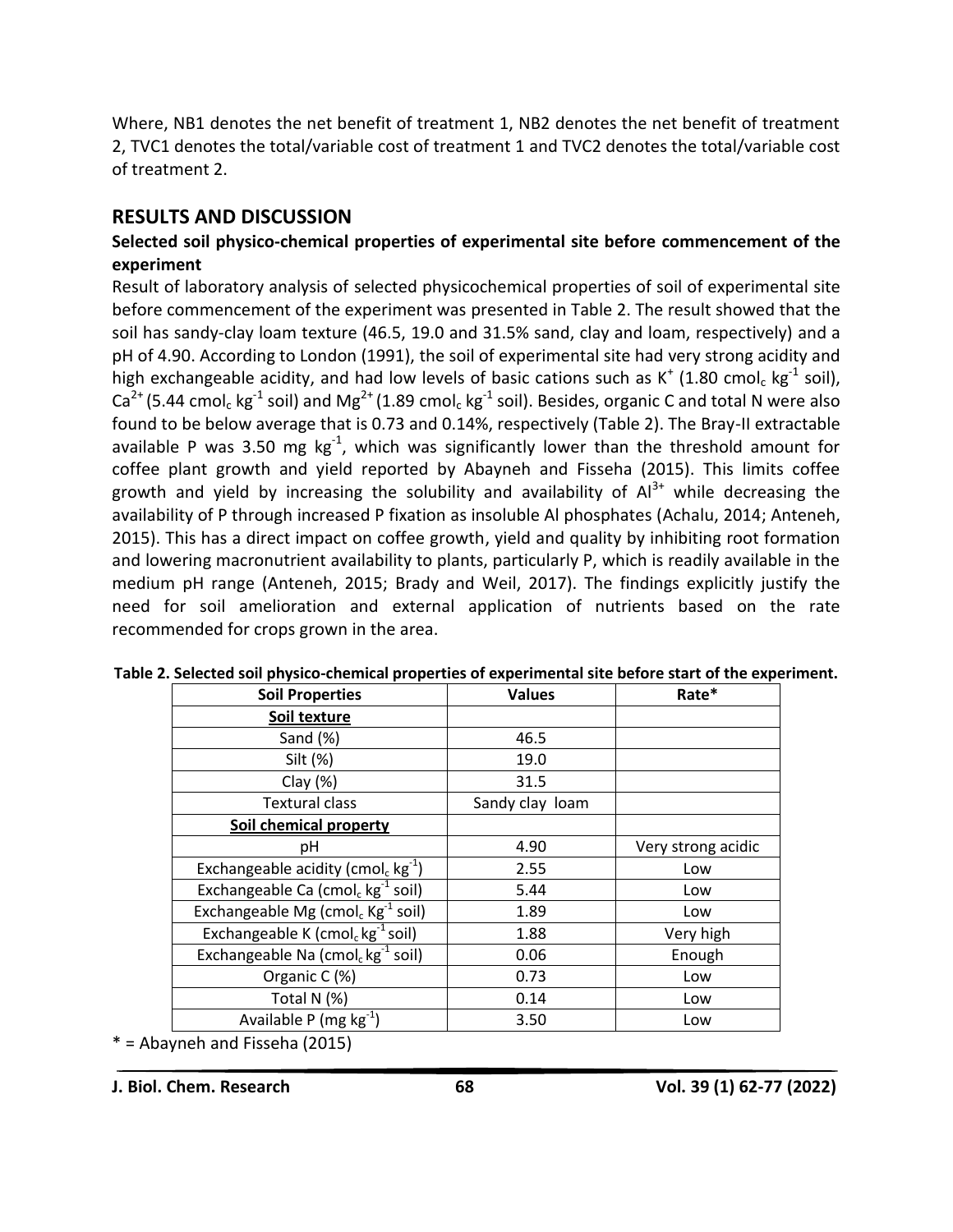Where, NB1 denotes the net benefit of treatment 1, NB2 denotes the net benefit of treatment 2, TVC1 denotes the total/variable cost of treatment 1 and TVC2 denotes the total/variable cost of treatment 2.

# **RESULTS AND DISCUSSION**

# **Selected soil physico-chemical properties of experimental site before commencement of the experiment**

Result of laboratory analysis of selected physicochemical properties of soil of experimental site before commencement of the experiment was presented in Table 2. The result showed that the soil has sandy-clay loam texture (46.5, 19.0 and 31.5% sand, clay and loam, respectively) and a pH of 4.90. According to London (1991), the soil of experimental site had very strong acidity and high exchangeable acidity, and had low levels of basic cations such as K<sup>+</sup> (1.80 cmol<sub>c</sub> kg<sup>-1</sup> soil), Ca<sup>2+</sup> (5.44 cmol<sub>c</sub> kg<sup>-1</sup> soil) and Mg<sup>2+</sup> (1.89 cmol<sub>c</sub> kg<sup>-1</sup> soil). Besides, organic C and total N were also found to be below average that is 0.73 and 0.14%, respectively (Table 2). The Bray-II extractable available P was 3.50 mg  $kg^{-1}$ , which was significantly lower than the threshold amount for coffee plant growth and yield reported by Abayneh and Fisseha (2015). This limits coffee growth and yield by increasing the solubility and availability of  $Al^{3+}$  while decreasing the availability of P through increased P fixation as insoluble Al phosphates (Achalu, 2014; Anteneh, 2015). This has a direct impact on coffee growth, yield and quality by inhibiting root formation and lowering macronutrient availability to plants, particularly P, which is readily available in the medium pH range (Anteneh, 2015; Brady and Weil, 2017). The findings explicitly justify the need for soil amelioration and external application of nutrients based on the rate recommended for crops grown in the area.

| <b>Soil Properties</b>                                     | <b>Values</b>   | Rate*              |  |
|------------------------------------------------------------|-----------------|--------------------|--|
| Soil texture                                               |                 |                    |  |
| Sand (%)                                                   | 46.5            |                    |  |
| Silt (%)                                                   | 19.0            |                    |  |
| Clay $(\%)$                                                | 31.5            |                    |  |
| <b>Textural class</b>                                      | Sandy clay loam |                    |  |
| Soil chemical property                                     |                 |                    |  |
| рH                                                         | 4.90            | Very strong acidic |  |
| Exchangeable acidity (cmol <sub>c</sub> kg <sup>-1</sup> ) | 2.55            | Low                |  |
| Exchangeable Ca (cmol <sub>c</sub> kg <sup>-1</sup> soil)  | 5.44            | Low                |  |
| Exchangeable Mg (cmol, $Kg^{-1}$ soil)                     | 1.89            | Low                |  |
| Exchangeable K (cmol <sub>c</sub> kg <sup>-1</sup> soil)   | 1.88            | Very high          |  |
| Exchangeable Na (cmol <sub>c</sub> kg <sup>-1</sup> soil)  | 0.06            | Enough             |  |
| Organic C (%)                                              | 0.73            | Low                |  |
| Total N (%)                                                | 0.14            | Low                |  |
| Available P (mg $kg^{-1}$ )                                | 3.50            | Low                |  |

#### **Table 2. Selected soil physico-chemical properties of experimental site before start of the experiment.**

\* = Abayneh and Fisseha (2015)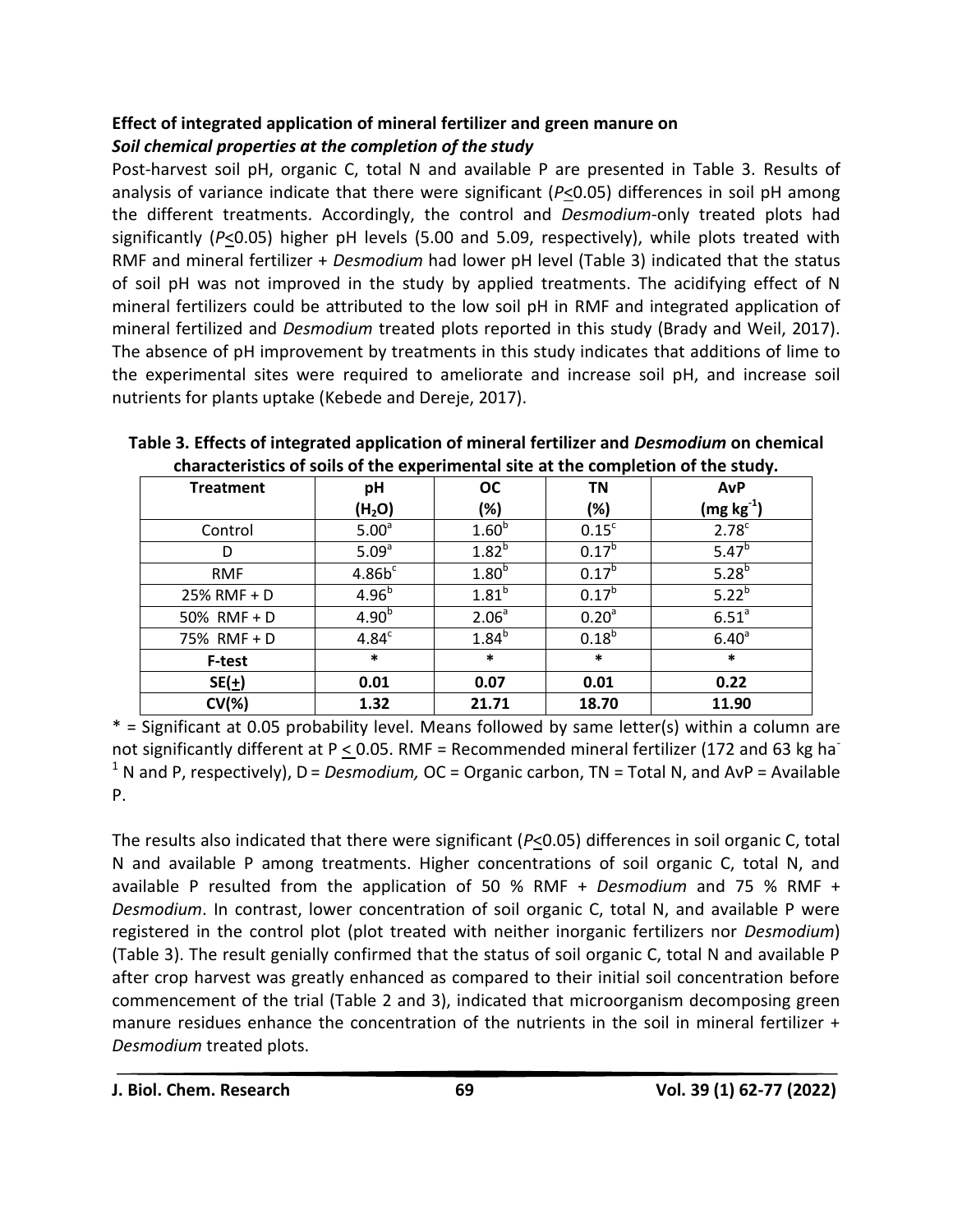# **Effect of integrated application of mineral fertilizer and green manure on** *Soil chemical properties at the completion of the study*

Post-harvest soil pH, organic C, total N and available P are presented in Table 3. Results of analysis of variance indicate that there were significant (*P*<0.05) differences in soil pH among the different treatments. Accordingly, the control and *Desmodium*-only treated plots had significantly (*P*<0.05) higher pH levels (5.00 and 5.09, respectively), while plots treated with RMF and mineral fertilizer + *Desmodium* had lower pH level (Table 3) indicated that the status of soil pH was not improved in the study by applied treatments. The acidifying effect of N mineral fertilizers could be attributed to the low soil pH in RMF and integrated application of mineral fertilized and *Desmodium* treated plots reported in this study (Brady and Weil, 2017). The absence of pH improvement by treatments in this study indicates that additions of lime to the experimental sites were required to ameliorate and increase soil pH, and increase soil nutrients for plants uptake (Kebede and Dereje, 2017).

| <b>Treatment</b> | pH                 | <b>OC</b>         | <b>TN</b>         | <b>AvP</b>             |
|------------------|--------------------|-------------------|-------------------|------------------------|
|                  | (H <sub>2</sub> O) | (%)               | (%)               | (mg kg $^{\text{-}1})$ |
| Control          | 5.00 <sup>a</sup>  | 1.60 <sup>b</sup> | 0.15 <sup>c</sup> | 2.78 <sup>c</sup>      |
| D                | 5.09 <sup>a</sup>  | $1.82^{b}$        | $0.17^{b}$        | $5.47^{b}$             |
| <b>RMF</b>       | 4.86b <sup>c</sup> | 1.80 <sup>b</sup> | $0.17^{b}$        | $5.28^{b}$             |
| 25% RMF + D      | $4.96^{b}$         | $1.81^{b}$        | $0.17^{b}$        | $5.22^{b}$             |
| 50% RMF + D      | 4.90 <sup>b</sup>  | 2.06 <sup>a</sup> | 0.20 <sup>a</sup> | 6.51 <sup>a</sup>      |
| 75% RMF + D      | 4.84 <sup>c</sup>  | $1.84^{b}$        | $0.18^{b}$        | $6.40^{a}$             |
| F-test           | $\ast$             | $\ast$            | $\ast$            | $\ast$                 |
| $SE(\pm)$        | 0.01               | 0.07              | 0.01              | 0.22                   |
| $CV(\%)$         | 1.32               | 21.71             | 18.70             | 11.90                  |

**Table 3. Effects of integrated application of mineral fertilizer and** *Desmodium* **on chemical characteristics of soils of the experimental site at the completion of the study.**

\* = Significant at 0.05 probability level. Means followed by same letter(s) within a column are not significantly different at P < 0.05. RMF = Recommended mineral fertilizer (172 and 63 kg ha <sup>1</sup> N and P, respectively), D = *Desmodium,* OC = Organic carbon, TN = Total N, and AvP = Available P.

The results also indicated that there were significant (*P*<0.05) differences in soil organic C, total N and available P among treatments. Higher concentrations of soil organic C, total N, and available P resulted from the application of 50 % RMF + *Desmodium* and 75 % RMF + *Desmodium*. In contrast, lower concentration of soil organic C, total N, and available P were registered in the control plot (plot treated with neither inorganic fertilizers nor *Desmodium*) (Table 3). The result genially confirmed that the status of soil organic C, total N and available P after crop harvest was greatly enhanced as compared to their initial soil concentration before commencement of the trial (Table 2 and 3), indicated that microorganism decomposing green manure residues enhance the concentration of the nutrients in the soil in mineral fertilizer + *Desmodium* treated plots.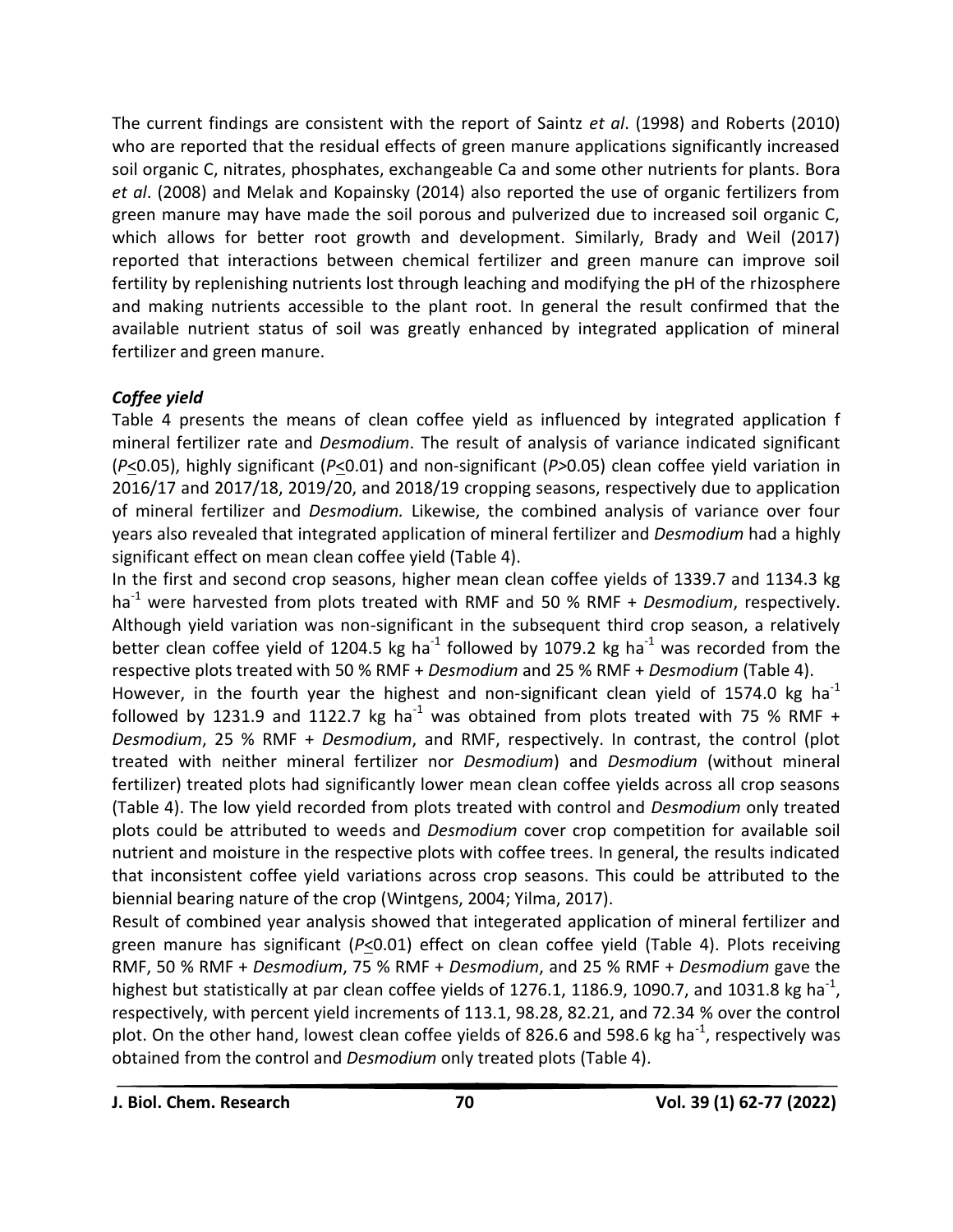The current findings are consistent with the report of Saintz *et al*. (1998) and Roberts (2010) who are reported that the residual effects of green manure applications significantly increased soil organic C, nitrates, phosphates, exchangeable Ca and some other nutrients for plants. Bora *et al*. (2008) and Melak and Kopainsky (2014) also reported the use of organic fertilizers from green manure may have made the soil porous and pulverized due to increased soil organic C, which allows for better root growth and development. Similarly, Brady and Weil (2017) reported that interactions between chemical fertilizer and green manure can improve soil fertility by replenishing nutrients lost through leaching and modifying the pH of the rhizosphere and making nutrients accessible to the plant root. In general the result confirmed that the available nutrient status of soil was greatly enhanced by integrated application of mineral fertilizer and green manure.

# *Coffee yield*

Table 4 presents the means of clean coffee yield as influenced by integrated application f mineral fertilizer rate and *Desmodium*. The result of analysis of variance indicated significant (*P*<0.05), highly significant (*P*<0.01) and non-significant (*P>*0.05) clean coffee yield variation in 2016/17 and 2017/18, 2019/20, and 2018/19 cropping seasons, respectively due to application of mineral fertilizer and *Desmodium.* Likewise, the combined analysis of variance over four years also revealed that integrated application of mineral fertilizer and *Desmodium* had a highly significant effect on mean clean coffee yield (Table 4).

In the first and second crop seasons, higher mean clean coffee yields of 1339.7 and 1134.3 kg ha-1 were harvested from plots treated with RMF and 50 % RMF + *Desmodium*, respectively. Although yield variation was non-significant in the subsequent third crop season, a relatively better clean coffee yield of 1204.5 kg ha<sup>-1</sup> followed by 1079.2 kg ha<sup>-1</sup> was recorded from the respective plots treated with 50 % RMF + *Desmodium* and 25 % RMF + *Desmodium* (Table 4).

However, in the fourth year the highest and non-significant clean yield of 1574.0 kg ha<sup>-1</sup> followed by 1231.9 and 1122.7 kg ha<sup>-1</sup> was obtained from plots treated with 75 % RMF + *Desmodium*, 25 % RMF + *Desmodium*, and RMF, respectively. In contrast, the control (plot treated with neither mineral fertilizer nor *Desmodium*) and *Desmodium* (without mineral fertilizer) treated plots had significantly lower mean clean coffee yields across all crop seasons (Table 4). The low yield recorded from plots treated with control and *Desmodium* only treated plots could be attributed to weeds and *Desmodium* cover crop competition for available soil nutrient and moisture in the respective plots with coffee trees. In general, the results indicated that inconsistent coffee yield variations across crop seasons. This could be attributed to the biennial bearing nature of the crop (Wintgens, 2004; Yilma, 2017).

Result of combined year analysis showed that integerated application of mineral fertilizer and green manure has significant (*P*<0.01) effect on clean coffee yield (Table 4). Plots receiving RMF, 50 % RMF + *Desmodium*, 75 % RMF + *Desmodium*, and 25 % RMF + *Desmodium* gave the highest but statistically at par clean coffee yields of 1276.1, 1186.9, 1090.7, and 1031.8 kg ha<sup>-1</sup>, respectively, with percent yield increments of 113.1, 98.28, 82.21, and 72.34 % over the control plot. On the other hand, lowest clean coffee yields of 826.6 and 598.6 kg ha<sup>-1</sup>, respectively was obtained from the control and *Desmodium* only treated plots (Table 4).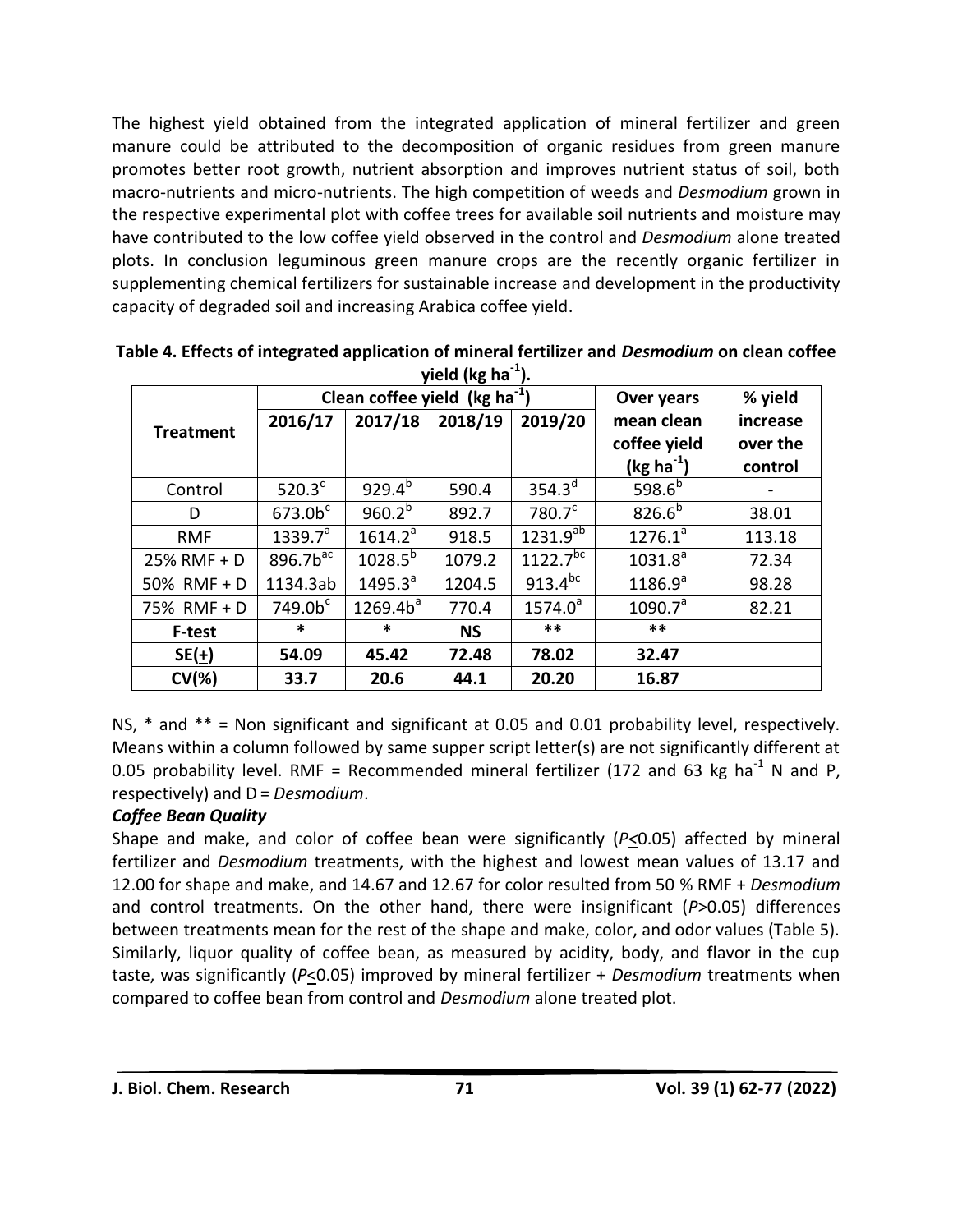The highest yield obtained from the integrated application of mineral fertilizer and green manure could be attributed to the decomposition of organic residues from green manure promotes better root growth, nutrient absorption and improves nutrient status of soil, both macro-nutrients and micro-nutrients. The high competition of weeds and *Desmodium* grown in the respective experimental plot with coffee trees for available soil nutrients and moisture may have contributed to the low coffee yield observed in the control and *Desmodium* alone treated plots. In conclusion leguminous green manure crops are the recently organic fertilizer in supplementing chemical fertilizers for sustainable increase and development in the productivity capacity of degraded soil and increasing Arabica coffee yield.

| $y$ iciu (ng ila $y$ . |                                           |              |           |                       |              |          |  |  |
|------------------------|-------------------------------------------|--------------|-----------|-----------------------|--------------|----------|--|--|
|                        | Clean coffee yield (kg ha <sup>-1</sup> ) |              |           |                       | Over years   | % yield  |  |  |
|                        | 2016/17                                   | 2017/18      | 2018/19   | 2019/20               | mean clean   | increase |  |  |
| <b>Treatment</b>       |                                           |              |           |                       | coffee yield | over the |  |  |
|                        |                                           |              |           |                       | $(kg ha-1)$  | control  |  |  |
| Control                | $520.3^{\circ}$                           | $929.4^{b}$  | 590.4     | $354.3^d$             | $598.6^{b}$  |          |  |  |
| D                      | 673.0 <sup>c</sup>                        | $960.2^{b}$  | 892.7     | 780.7 <sup>c</sup>    | $826.6^{b}$  | 38.01    |  |  |
| <b>RMF</b>             | $1339.7^a$                                | $1614.2^a$   | 918.5     | $1231.9^{ab}$         | $1276.1^a$   | 113.18   |  |  |
| 25% RMF + D            | $896.7b$ <sup>ac</sup>                    | $1028.5^{b}$ | 1079.2    | $1122.7^{bc}$         | $1031.8^a$   | 72.34    |  |  |
| 50% RMF + D            | 1134.3ab                                  | $1495.3^a$   | 1204.5    | 913.4 $\overline{bc}$ | $1186.9^{a}$ | 98.28    |  |  |
| 75% RMF + D            | 749.0 <sup>c</sup>                        | $1269.4b^a$  | 770.4     | $1574.0^a$            | $1090.7^a$   | 82.21    |  |  |
| <b>F-test</b>          | *                                         | $\ast$       | <b>NS</b> | $***$                 | $***$        |          |  |  |
| $SE(\pm)$              | 54.09                                     | 45.42        | 72.48     | 78.02                 | 32.47        |          |  |  |
| $CV(\%)$               | 33.7                                      | 20.6         | 44.1      | 20.20                 | 16.87        |          |  |  |

**Table 4. Effects of integrated application of mineral fertilizer and** *Desmodium* **on clean coffee yield (kg ha-1 ).**

NS, \* and \*\* = Non significant and significant at 0.05 and 0.01 probability level, respectively. Means within a column followed by same supper script letter(s) are not significantly different at 0.05 probability level. RMF = Recommended mineral fertilizer (172 and 63 kg ha<sup>-1</sup> N and P, respectively) and D = *Desmodium*.

# *Coffee Bean Quality*

Shape and make, and color of coffee bean were significantly (*P<*0.05) affected by mineral fertilizer and *Desmodium* treatments, with the highest and lowest mean values of 13.17 and 12.00 for shape and make, and 14.67 and 12.67 for color resulted from 50 % RMF + *Desmodium* and control treatments. On the other hand, there were insignificant (*P*>0.05) differences between treatments mean for the rest of the shape and make, color, and odor values (Table 5). Similarly, liquor quality of coffee bean, as measured by acidity, body, and flavor in the cup taste, was significantly (*P*<0.05) improved by mineral fertilizer + *Desmodium* treatments when compared to coffee bean from control and *Desmodium* alone treated plot.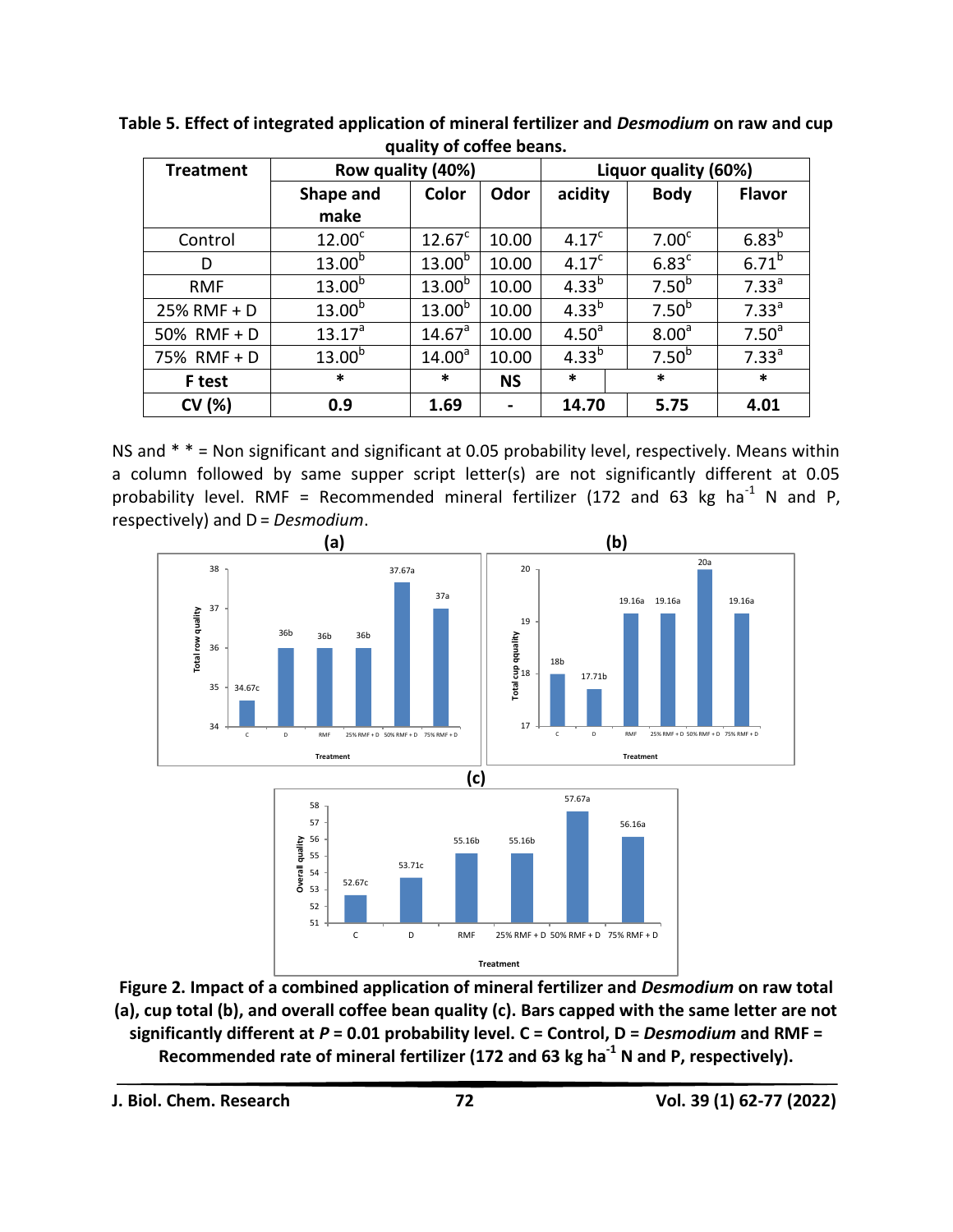| <b>Treatment</b> | Row quality (40%)  |                    |                | Liquor quality (60%) |                   |                   |  |
|------------------|--------------------|--------------------|----------------|----------------------|-------------------|-------------------|--|
|                  | Shape and          | Color              | Odor           | acidity              | <b>Body</b>       | <b>Flavor</b>     |  |
|                  | make               |                    |                |                      |                   |                   |  |
| Control          | 12.00 <sup>c</sup> | 12.67 <sup>c</sup> | 10.00          | 4.17 <sup>c</sup>    | 7.00 <sup>c</sup> | $6.83^{b}$        |  |
| D                | $13.00^{b}$        | 13.00 <sup>b</sup> | 10.00          | 4.17 <sup>c</sup>    | 6.83 <sup>c</sup> | $6.71^{b}$        |  |
| <b>RMF</b>       | $13.00^{b}$        | $13.00^{b}$        | 10.00          | $4.33^{b}$           | 7.50 <sup>b</sup> | 7.33 <sup>a</sup> |  |
| 25% RMF + D      | 13.00 <sup>b</sup> | $13.00^{b}$        | 10.00          | $4.33^{b}$           | 7.50 <sup>b</sup> | 7.33 <sup>a</sup> |  |
| 50% RMF + D      | $13.17^{a}$        | 14.67 <sup>a</sup> | 10.00          | 4.50 <sup>a</sup>    | 8.00 <sup>a</sup> | 7.50 <sup>a</sup> |  |
| 75% RMF + D      | $13.00^{b}$        | 14.00 <sup>a</sup> | 10.00          | $4.33^{b}$           | 7.50 <sup>b</sup> | 7.33 <sup>a</sup> |  |
| F test           | $\ast$             | $\ast$             | <b>NS</b>      | $\ast$               | $\ast$            | $\ast$            |  |
| CV (%)           | 0.9                | 1.69               | $\blacksquare$ | 14.70                | 5.75              | 4.01              |  |

**Table 5. Effect of integrated application of mineral fertilizer and** *Desmodium* **on raw and cup quality of coffee beans.**

NS and \* \* = Non significant and significant at 0.05 probability level, respectively. Means within a column followed by same supper script letter(s) are not significantly different at 0.05 probability level. RMF = Recommended mineral fertilizer (172 and 63 kg ha<sup>-1</sup> N and P, respectively) and D = *Desmodium*.



**Figure 2. Impact of a combined application of mineral fertilizer and** *Desmodium* **on raw total (a), cup total (b), and overall coffee bean quality (c). Bars capped with the same letter are not significantly different at** *P* **= 0.01 probability level. C = Control, D =** *Desmodium* **and RMF = Recommended rate of mineral fertilizer (172 and 63 kg ha-1 N and P, respectively).**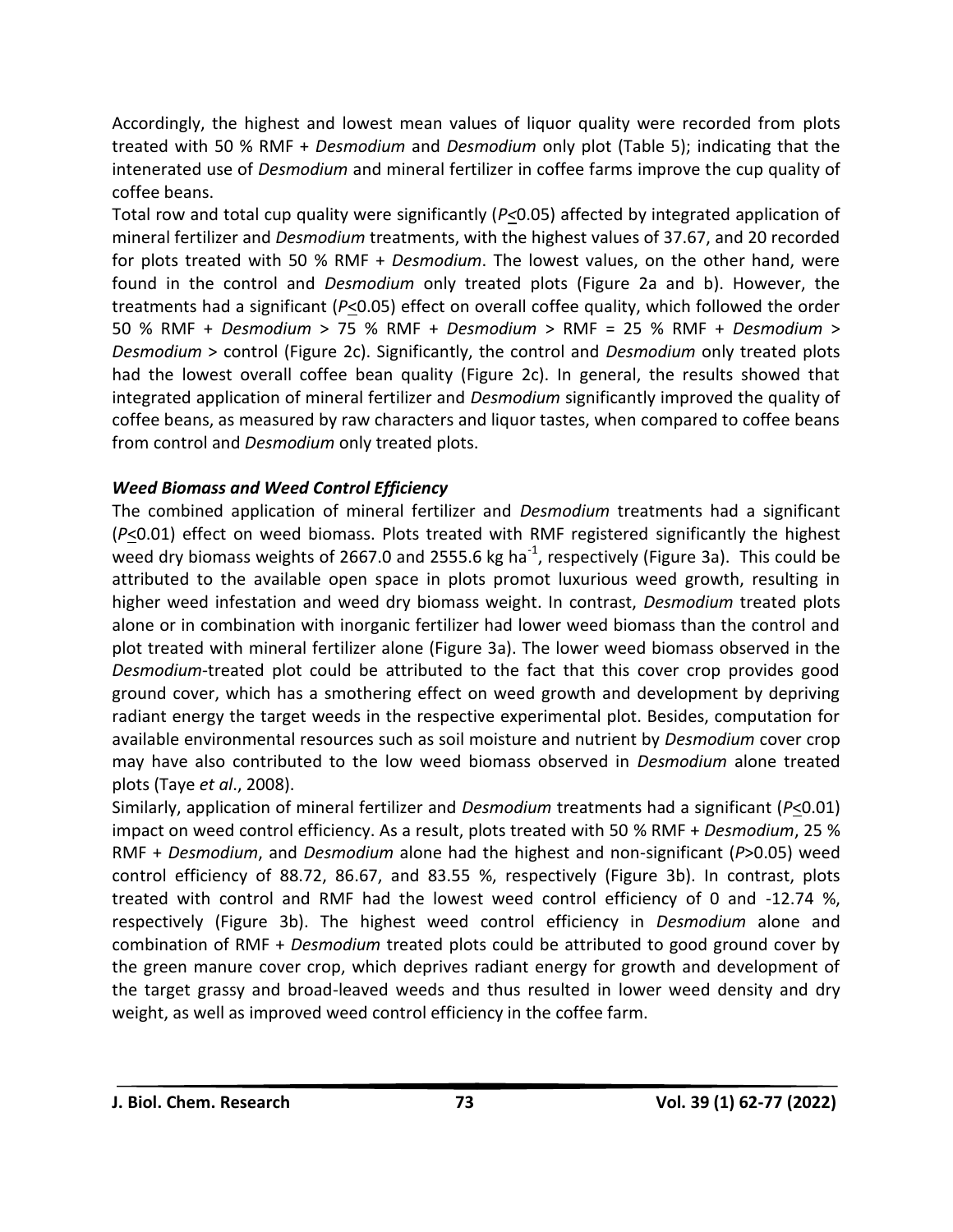Accordingly, the highest and lowest mean values of liquor quality were recorded from plots treated with 50 % RMF + *Desmodium* and *Desmodium* only plot (Table 5); indicating that the intenerated use of *Desmodium* and mineral fertilizer in coffee farms improve the cup quality of coffee beans.

Total row and total cup quality were significantly (*P<*0.05) affected by integrated application of mineral fertilizer and *Desmodium* treatments, with the highest values of 37.67, and 20 recorded for plots treated with 50 % RMF + *Desmodium*. The lowest values, on the other hand, were found in the control and *Desmodium* only treated plots (Figure 2a and b). However, the treatments had a significant (*P*<0.05) effect on overall coffee quality, which followed the order 50 % RMF + *Desmodium* > 75 % RMF + *Desmodium* > RMF = 25 % RMF + *Desmodium* > *Desmodium* > control (Figure 2c). Significantly, the control and *Desmodium* only treated plots had the lowest overall coffee bean quality (Figure 2c). In general, the results showed that integrated application of mineral fertilizer and *Desmodium* significantly improved the quality of coffee beans, as measured by raw characters and liquor tastes, when compared to coffee beans from control and *Desmodium* only treated plots.

# *Weed Biomass and Weed Control Efficiency*

The combined application of mineral fertilizer and *Desmodium* treatments had a significant (*P*<0.01) effect on weed biomass. Plots treated with RMF registered significantly the highest weed dry biomass weights of 2667.0 and 2555.6 kg ha<sup>-1</sup>, respectively (Figure 3a). This could be attributed to the available open space in plots promot luxurious weed growth, resulting in higher weed infestation and weed dry biomass weight. In contrast, *Desmodium* treated plots alone or in combination with inorganic fertilizer had lower weed biomass than the control and plot treated with mineral fertilizer alone (Figure 3a). The lower weed biomass observed in the *Desmodium*-treated plot could be attributed to the fact that this cover crop provides good ground cover, which has a smothering effect on weed growth and development by depriving radiant energy the target weeds in the respective experimental plot. Besides, computation for available environmental resources such as soil moisture and nutrient by *Desmodium* cover crop may have also contributed to the low weed biomass observed in *Desmodium* alone treated plots (Taye *et al*., 2008).

Similarly, application of mineral fertilizer and *Desmodium* treatments had a significant (*P*<0.01) impact on weed control efficiency. As a result, plots treated with 50 % RMF + *Desmodium*, 25 % RMF + *Desmodium*, and *Desmodium* alone had the highest and non-significant (*P*>0.05) weed control efficiency of 88.72, 86.67, and 83.55 %, respectively (Figure 3b). In contrast, plots treated with control and RMF had the lowest weed control efficiency of 0 and -12.74 %, respectively (Figure 3b). The highest weed control efficiency in *Desmodium* alone and combination of RMF + *Desmodium* treated plots could be attributed to good ground cover by the green manure cover crop, which deprives radiant energy for growth and development of the target grassy and broad-leaved weeds and thus resulted in lower weed density and dry weight, as well as improved weed control efficiency in the coffee farm.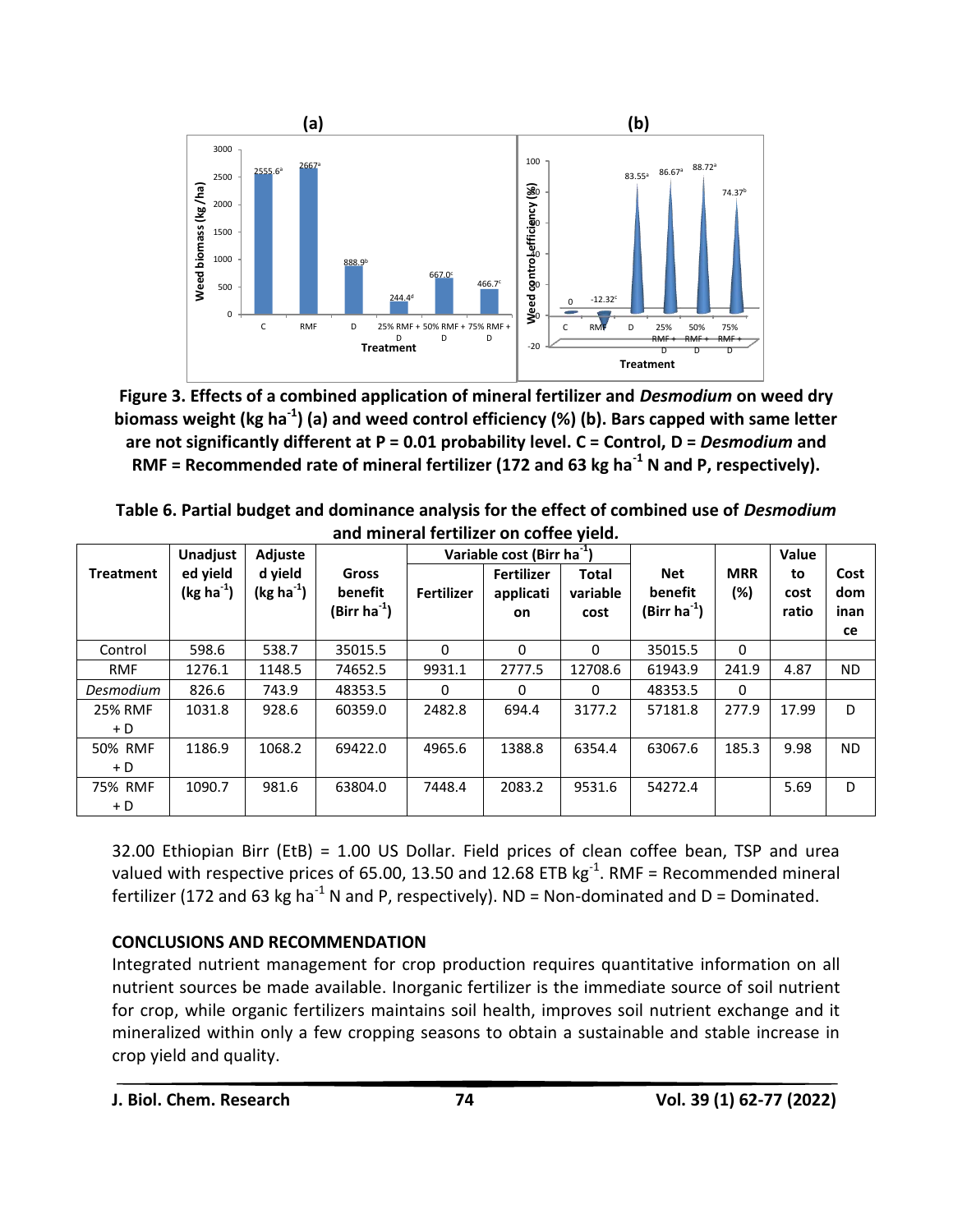

**Figure 3. Effects of a combined application of mineral fertilizer and** *Desmodium* **on weed dry biomass weight (kg ha-1 ) (a) and weed control efficiency (%) (b). Bars capped with same letter are not significantly different at P = 0.01 probability level. C = Control, D =** *Desmodium* **and RMF = Recommended rate of mineral fertilizer (172 and 63 kg ha-1 N and P, respectively).**

| Table 6. Partial budget and dominance analysis for the effect of combined use of <i>Desmodium</i> |
|---------------------------------------------------------------------------------------------------|
| and mineral fertilizer on coffee yield.                                                           |

|                         | <b>Unadjust</b>         | Adjuste                |                                        | Variable cost (Birr ha <sup>-1</sup> ) |                                      |                                  |                                                   |                      | Value               |                           |
|-------------------------|-------------------------|------------------------|----------------------------------------|----------------------------------------|--------------------------------------|----------------------------------|---------------------------------------------------|----------------------|---------------------|---------------------------|
| <b>Treatment</b>        | ed yield<br>$(kg ha-1)$ | d yield<br>$(kg ha-1)$ | Gross<br>benefit<br>(Birr ha $^{-1}$ ) | <b>Fertilizer</b>                      | <b>Fertilizer</b><br>applicati<br>on | <b>Total</b><br>variable<br>cost | <b>Net</b><br>benefit<br>(Birr ha <sup>-1</sup> ) | <b>MRR</b><br>$(\%)$ | to<br>cost<br>ratio | Cost<br>dom<br>inan<br>ce |
| Control                 | 598.6                   | 538.7                  | 35015.5                                | 0                                      | 0                                    | 0                                | 35015.5                                           | 0                    |                     |                           |
| <b>RMF</b>              | 1276.1                  | 1148.5                 | 74652.5                                | 9931.1                                 | 2777.5                               | 12708.6                          | 61943.9                                           | 241.9                | 4.87                | ND.                       |
| Desmodium               | 826.6                   | 743.9                  | 48353.5                                | 0                                      | 0                                    | $\Omega$                         | 48353.5                                           | 0                    |                     |                           |
| <b>25% RMF</b><br>$+ D$ | 1031.8                  | 928.6                  | 60359.0                                | 2482.8                                 | 694.4                                | 3177.2                           | 57181.8                                           | 277.9                | 17.99               | D                         |
| 50% RMF<br>$+ D$        | 1186.9                  | 1068.2                 | 69422.0                                | 4965.6                                 | 1388.8                               | 6354.4                           | 63067.6                                           | 185.3                | 9.98                | <b>ND</b>                 |
| 75% RMF<br>$+ D$        | 1090.7                  | 981.6                  | 63804.0                                | 7448.4                                 | 2083.2                               | 9531.6                           | 54272.4                                           |                      | 5.69                | D                         |

32.00 Ethiopian Birr (EtB) = 1.00 US Dollar. Field prices of clean coffee bean, TSP and urea valued with respective prices of 65.00, 13.50 and 12.68 ETB  $kg^{-1}$ . RMF = Recommended mineral fertilizer (172 and 63 kg ha<sup>-1</sup> N and P, respectively). ND = Non-dominated and D = Dominated.

# **CONCLUSIONS AND RECOMMENDATION**

Integrated nutrient management for crop production requires quantitative information on all nutrient sources be made available. Inorganic fertilizer is the immediate source of soil nutrient for crop, while organic fertilizers maintains soil health, improves soil nutrient exchange and it mineralized within only a few cropping seasons to obtain a sustainable and stable increase in crop yield and quality.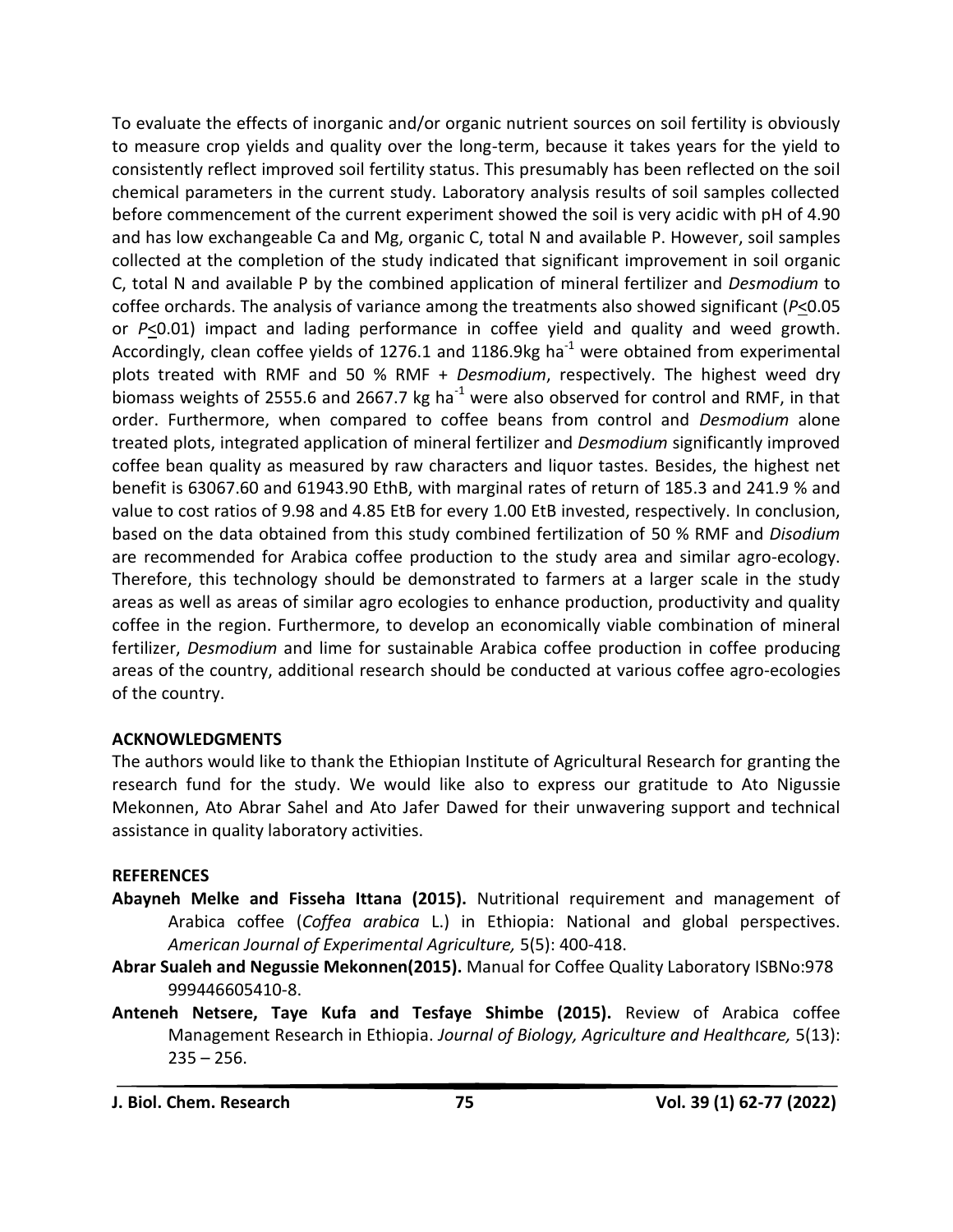To evaluate the effects of inorganic and/or organic nutrient sources on soil fertility is obviously to measure crop yields and quality over the long-term, because it takes years for the yield to consistently reflect improved soil fertility status. This presumably has been reflected on the soil chemical parameters in the current study. Laboratory analysis results of soil samples collected before commencement of the current experiment showed the soil is very acidic with pH of 4.90 and has low exchangeable Ca and Mg, organic C, total N and available P. However, soil samples collected at the completion of the study indicated that significant improvement in soil organic C, total N and available P by the combined application of mineral fertilizer and *Desmodium* to coffee orchards. The analysis of variance among the treatments also showed significant (*P*<0.05 or *P*<0.01) impact and lading performance in coffee yield and quality and weed growth. Accordingly, clean coffee yields of 1276.1 and 1186.9kg ha<sup>-1</sup> were obtained from experimental plots treated with RMF and 50 % RMF + *Desmodium*, respectively. The highest weed dry biomass weights of 2555.6 and 2667.7 kg ha<sup>-1</sup> were also observed for control and RMF, in that order. Furthermore, when compared to coffee beans from control and *Desmodium* alone treated plots, integrated application of mineral fertilizer and *Desmodium* significantly improved coffee bean quality as measured by raw characters and liquor tastes. Besides, the highest net benefit is 63067.60 and 61943.90 EthB, with marginal rates of return of 185.3 and 241.9 % and value to cost ratios of 9.98 and 4.85 EtB for every 1.00 EtB invested, respectively. In conclusion, based on the data obtained from this study combined fertilization of 50 % RMF and *Disodium* are recommended for Arabica coffee production to the study area and similar agro-ecology. Therefore, this technology should be demonstrated to farmers at a larger scale in the study areas as well as areas of similar agro ecologies to enhance production, productivity and quality coffee in the region. Furthermore, to develop an economically viable combination of mineral fertilizer, *Desmodium* and lime for sustainable Arabica coffee production in coffee producing areas of the country, additional research should be conducted at various coffee agro-ecologies of the country.

# **ACKNOWLEDGMENTS**

The authors would like to thank the Ethiopian Institute of Agricultural Research for granting the research fund for the study. We would like also to express our gratitude to Ato Nigussie Mekonnen, Ato Abrar Sahel and Ato Jafer Dawed for their unwavering support and technical assistance in quality laboratory activities.

#### **REFERENCES**

- **Abayneh Melke and Fisseha Ittana (2015).** Nutritional requirement and management of Arabica coffee (*Coffea arabica* L.) in Ethiopia: National and global perspectives. *American Journal of Experimental Agriculture,* 5(5): 400-418.
- **Abrar Sualeh and Negussie Mekonnen(2015).** Manual for Coffee Quality Laboratory ISBNo:978 999446605410-8.
- **Anteneh Netsere, Taye Kufa and Tesfaye Shimbe (2015).** Review of Arabica coffee Management Research in Ethiopia. *Journal of Biology, Agriculture and Healthcare,* 5(13):  $235 - 256$ .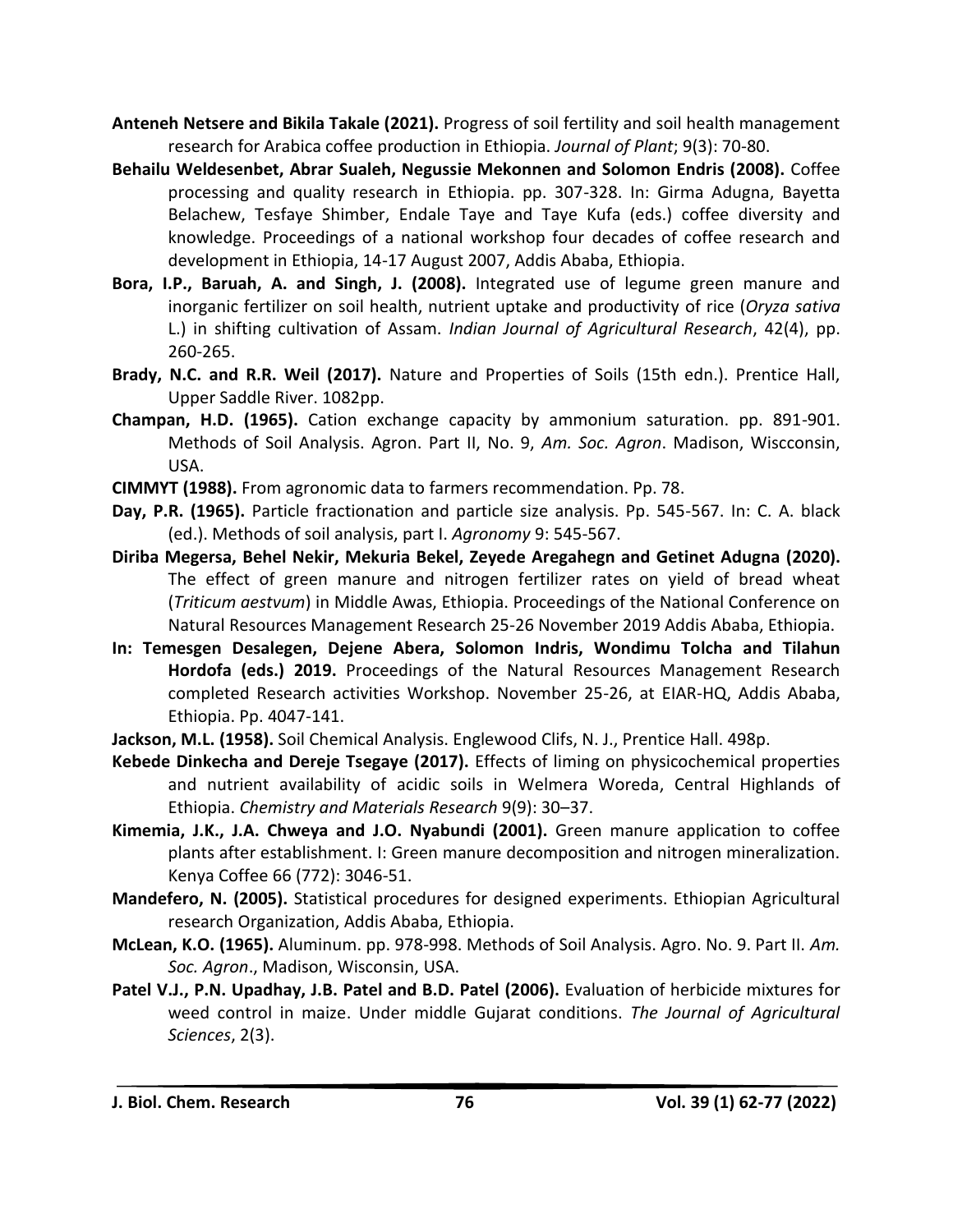- **Anteneh Netsere and Bikila Takale (2021).** Progress of soil fertility and soil health management research for Arabica coffee production in Ethiopia. *Journal of Plant*; 9(3): 70-80.
- **Behailu Weldesenbet, Abrar Sualeh, Negussie Mekonnen and Solomon Endris (2008).** Coffee processing and quality research in Ethiopia. pp. 307-328. In: Girma Adugna, Bayetta Belachew, Tesfaye Shimber, Endale Taye and Taye Kufa (eds.) coffee diversity and knowledge. Proceedings of a national workshop four decades of coffee research and development in Ethiopia, 14-17 August 2007, Addis Ababa, Ethiopia.
- **Bora, I.P., Baruah, A. and Singh, J. (2008).** Integrated use of legume green manure and inorganic fertilizer on soil health, nutrient uptake and productivity of rice (*Oryza sativa* L.) in shifting cultivation of Assam. *Indian Journal of Agricultural Research*, 42(4), pp. 260-265.
- **Brady, N.C. and R.R. Weil (2017).** Nature and Properties of Soils (15th edn.). Prentice Hall, Upper Saddle River. 1082pp.
- **Champan, H.D. (1965).** Cation exchange capacity by ammonium saturation. pp. 891-901. Methods of Soil Analysis. Agron. Part II, No. 9, *Am. Soc. Agron*. Madison, Wiscconsin, USA.
- **CIMMYT (1988).** From agronomic data to farmers recommendation. Pp. 78.
- **Day, P.R. (1965).** Particle fractionation and particle size analysis. Pp. 545-567. In: C. A. black (ed.). Methods of soil analysis, part I. *Agronomy* 9: 545-567.
- **Diriba Megersa, Behel Nekir, Mekuria Bekel, Zeyede Aregahegn and Getinet Adugna (2020).**  The effect of green manure and nitrogen fertilizer rates on yield of bread wheat (*Triticum aestvum*) in Middle Awas, Ethiopia. Proceedings of the National Conference on Natural Resources Management Research 25-26 November 2019 Addis Ababa, Ethiopia.
- **In: Temesgen Desalegen, Dejene Abera, Solomon Indris, Wondimu Tolcha and Tilahun Hordofa (eds.) 2019.** Proceedings of the Natural Resources Management Research completed Research activities Workshop. November 25-26, at EIAR-HQ, Addis Ababa, Ethiopia. Pp. 4047-141.
- **Jackson, M.L. (1958).** Soil Chemical Analysis. Englewood Clifs, N. J., Prentice Hall. 498p.
- **Kebede Dinkecha and Dereje Tsegaye (2017).** Effects of liming on physicochemical properties and nutrient availability of acidic soils in Welmera Woreda, Central Highlands of Ethiopia. *Chemistry and Materials Research* 9(9): 30–37.
- **Kimemia, J.K., J.A. Chweya and J.O. Nyabundi (2001).** Green manure application to coffee plants after establishment. I: Green manure decomposition and nitrogen mineralization. Kenya Coffee 66 (772): 3046-51.
- **Mandefero, N. (2005).** Statistical procedures for designed experiments. Ethiopian Agricultural research Organization, Addis Ababa, Ethiopia.
- **McLean, K.O. (1965).** Aluminum. pp. 978-998. Methods of Soil Analysis. Agro. No. 9. Part II. *Am. Soc. Agron*., Madison, Wisconsin, USA.
- **Patel V.J., P.N. Upadhay, J.B. Patel and B.D. Patel (2006).** Evaluation of herbicide mixtures for weed control in maize. Under middle Gujarat conditions. *The Journal of Agricultural Sciences*, 2(3).